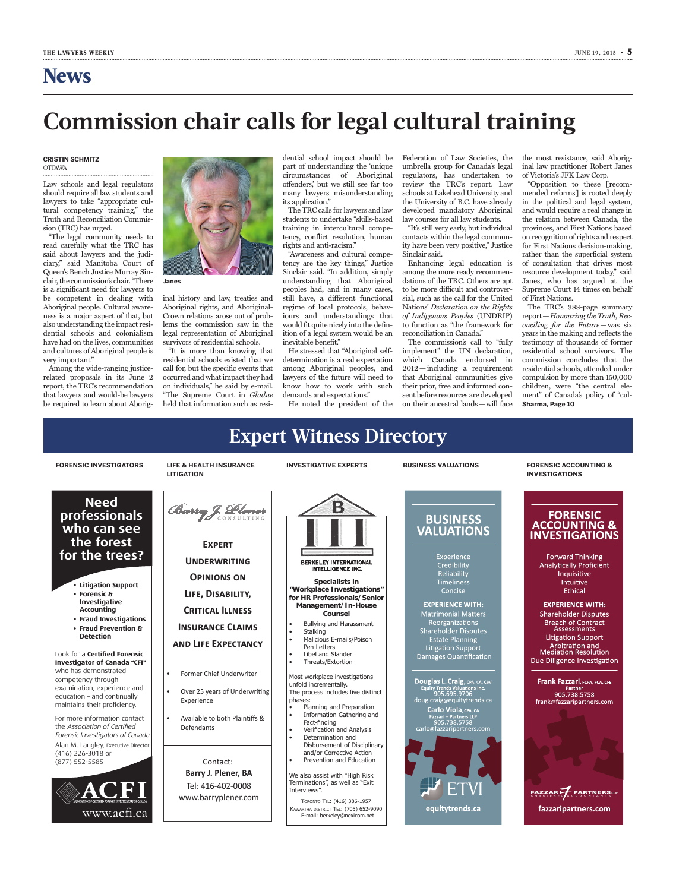## **Commission chair calls for legal cultural training**

### **Cristin Schmitz** OTTAWA

Law schools and legal regulators should require all law students and lawyers to take "appropriate cultural competency training," the Truth and Reconciliation Commission (TRC) has urged.

"The legal community needs to read carefully what the TRC has said about lawyers and the judiciary," said Manitoba Court of Queen's Bench Justice Murray Sinclair, the commission's chair. "There is a significant need for lawyers to be competent in dealing with Aboriginal people. Cultural awareness is a major aspect of that, but also understanding the impact residential schools and colonialism have had on the lives, communities and cultures of Aboriginal people is very important."

Among the wide-ranging justicerelated proposals in its June 2 report, the TRC's recommendation that lawyers and would-be lawyers be required to learn about Aborig-



inal history and law, treaties and Aboriginal rights, and Aboriginal-Crown relations arose out of problems the commission saw in the legal representation of Aboriginal survivors of residential schools.

"It is more than knowing that residential schools existed that we call for, but the specific events that occurred and what impact they had on individuals," he said by e-mail. "The Supreme Court in *Gladue* held that information such as residential school impact should be part of understanding the 'unique circumstances of Aboriginal offenders,' but we still see far too many lawyers misunderstanding its application."

The TRC calls for lawyers and law students to undertake "skills-based training in intercultural competency, conflict resolution, human rights and anti-racism."

"Awareness and cultural competency are the key things," Justice Sinclair said. "In addition, simply understanding that Aboriginal peoples had, and in many cases, still have, a different functional regime of local protocols, behaviours and understandings that would fit quite nicely into the definition of a legal system would be an inevitable benefit."

He stressed that "Aboriginal selfdetermination is a real expectation among Aboriginal peoples, and lawyers of the future will need to know how to work with such demands and expectations."

He noted the president of the

Federation of Law Societies, the umbrella group for Canada's legal regulators, has undertaken to review the TRC's report. Law schools at Lakehead University and the University of B.C. have already developed mandatory Aboriginal law courses for all law students.

"It's still very early, but individual contacts within the legal community have been very positive," Justice Sinclair said.

Enhancing legal education is among the more ready recommendations of the TRC. Others are apt to be more difficult and controversial, such as the call for the United Nations' *Declaration on the Rights of Indigenous Peoples* (UNDRIP) to function as "the framework for reconciliation in Canada."

The commission's call to "fully implement" the UN declaration, which Canada endorsed in 2012—including a requirement that Aboriginal communities give their prior, free and informed consent before resources are developed on their ancestral lands—will face the most resistance, said Aboriginal law practitioner Robert Janes of Victoria's JFK Law Corp.

"Opposition to these [recommended reforms] is rooted deeply in the political and legal system, and would require a real change in the relation between Canada, the provinces, and First Nations based on recognition of rights and respect for First Nations decision-making, rather than the superficial system of consultation that drives most resource development today," said Janes, who has argued at the Supreme Court 14 times on behalf of First Nations.

The TRC's 388-page summary report—*Honouring the Truth, Reconciling for the Future*—was six years in the making and reflects the testimony of thousands of former residential school survivors. The commission concludes that the residential schools, attended under compulsion by more than 150,000 children, were "the central element" of Canada's policy of "cul-**Sharma, Page 10**

#### **Expert Witness Directory Business Valuations Forensic Accounting & FORENSIC INVESTIGATORS LIFE & HEALTH INSURANCE INVESTIGATIVE EXPERTS LITIGATION Investigations Need** Barry J. Plener **professionals FORENSIC BUSINESS ACCOUNTING & who can see VALUATIONS INVESTIGATIONS the forest** EXPERT **for the trees? Forward Thinking** Experience UND**ERWRITING** BERKELEY INTERNATIONAL<br>INTELLIGENCE INC. Credibility<br>Reliability **Analytically Proficient EXPRT** Inquisitive **OPINIONS ON Specialists in**  Timeliness **UNDRWRITING** Intuitive **• Litigation Support "Workplace Investigations"**  Concise Ethical **• Forensic & LIF, ISABIITY, OPININS N for HR Professionals/Senior Investigative EXPERIENCE WITH: Management/In-House LIF, ISABIITY, Accounting CRITICAL ILLNESS Counsel Shareholder Disputes • Fraud Investigations C Breach of Contract** Bullying and Harassment **• Fraud Prevention & INSURANCE CLAIMS** Assessments **Stalking NSRAN CAIMS Detection Litigation Support** Malicious E-mails/Poison **AND LIFE EXPECTANCY** Arbitration and<br>Mediation Resolution Pen Letters **Example 1**<br>Damages <u>Quantification</u> Look for a **Certified Forensic** Libel and Slander Due Diligence Investigation Threats/Extortion **Investigator of Canada** "**CFI**" who has demonstrated • Former Chief Underwriter Most workplace investigations competency through Frank Fazzari, FCPA, FCA, CFE unfold incrementally. examination, experience and Equity Trends Valuations Inc.<br>905.695.9706<br>doug.craig@equitytrends.ca Partner<br>905.738.5758 Over 25 years of Underwriting The process includes five distinct  $\vert$ education – and continually phases: Experience frank@fazzaripartners.com maintains their proficiency. Planning and Preparation Carlo Viola, CPA, CA • Information Gathering and **Available to both the set of the set of the set of the set of the set of the set of the set of the set of the set of the set of the set of the set of the set of the set of the set of the set of** Available to both Plaintiffs & <sup>-</sup> more information contact Post 738.5758<br>
g05.738.5758<br>
carlo@fazzaripartners.com Fact-finding the Association of Certified Defendants Verification and Analysis Forensic Investigators of Canada Determination and Disbursement of Disciplinary Alan M. Langley, Executive Director and/or Corrective Action (416) 226-3018 or Prevention and Education (877) 552-5585 Contact: Contact: **Barry J. Plener, BA** We also assist with "High Risk **arry J. lener,**  Terminations", as well as "Exit Tel: 416-402-0008 Tel: 416-402-0008 FAZZARIZ PARTNERS Interviews". www.barryplener.com  $57$ TORONTO TEL: (416) 386-1957 equitytrends.ca fazzaripartners.com KAWARTHA DISTRICT TEL: (705) 652-9090 www.acfi.ca E-mail: berkeley@nexicom.net